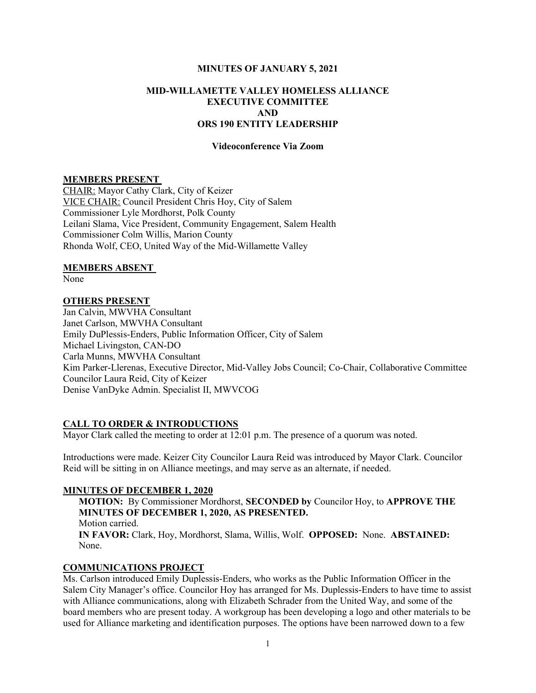### MINUTES OF JANUARY 5, 2021

# MID-WILLAMETTE VALLEY HOMELESS ALLIANCE EXECUTIVE COMMITTEE AND ORS 190 ENTITY LEADERSHIP

#### Videoconference Via Zoom

#### MEMBERS PRESENT

CHAIR: Mayor Cathy Clark, City of Keizer VICE CHAIR: Council President Chris Hoy, City of Salem Commissioner Lyle Mordhorst, Polk County Leilani Slama, Vice President, Community Engagement, Salem Health Commissioner Colm Willis, Marion County Rhonda Wolf, CEO, United Way of the Mid-Willamette Valley

#### MEMBERS ABSENT

None

### OTHERS PRESENT

Jan Calvin, MWVHA Consultant Janet Carlson, MWVHA Consultant Emily DuPlessis-Enders, Public Information Officer, City of Salem Michael Livingston, CAN-DO Carla Munns, MWVHA Consultant Kim Parker-Llerenas, Executive Director, Mid-Valley Jobs Council; Co-Chair, Collaborative Committee Councilor Laura Reid, City of Keizer Denise VanDyke Admin. Specialist II, MWVCOG

### CALL TO ORDER & INTRODUCTIONS

Mayor Clark called the meeting to order at 12:01 p.m. The presence of a quorum was noted.

Introductions were made. Keizer City Councilor Laura Reid was introduced by Mayor Clark. Councilor Reid will be sitting in on Alliance meetings, and may serve as an alternate, if needed.

### MINUTES OF DECEMBER 1, 2020

MOTION: By Commissioner Mordhorst, SECONDED by Councilor Hoy, to APPROVE THE MINUTES OF DECEMBER 1, 2020, AS PRESENTED. Motion carried. IN FAVOR: Clark, Hoy, Mordhorst, Slama, Willis, Wolf. OPPOSED: None. ABSTAINED: None.

# COMMUNICATIONS PROJECT

Ms. Carlson introduced Emily Duplessis-Enders, who works as the Public Information Officer in the Salem City Manager's office. Councilor Hoy has arranged for Ms. Duplessis-Enders to have time to assist with Alliance communications, along with Elizabeth Schrader from the United Way, and some of the board members who are present today. A workgroup has been developing a logo and other materials to be used for Alliance marketing and identification purposes. The options have been narrowed down to a few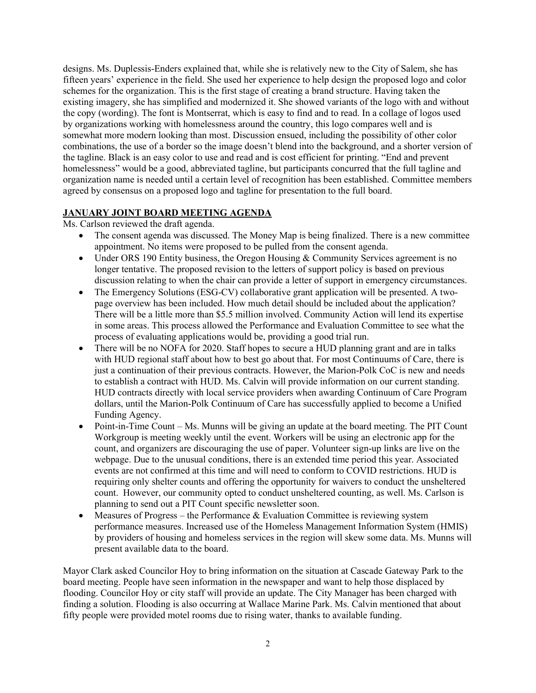designs. Ms. Duplessis-Enders explained that, while she is relatively new to the City of Salem, she has fifteen years' experience in the field. She used her experience to help design the proposed logo and color schemes for the organization. This is the first stage of creating a brand structure. Having taken the existing imagery, she has simplified and modernized it. She showed variants of the logo with and without the copy (wording). The font is Montserrat, which is easy to find and to read. In a collage of logos used by organizations working with homelessness around the country, this logo compares well and is somewhat more modern looking than most. Discussion ensued, including the possibility of other color combinations, the use of a border so the image doesn't blend into the background, and a shorter version of the tagline. Black is an easy color to use and read and is cost efficient for printing. "End and prevent homelessness" would be a good, abbreviated tagline, but participants concurred that the full tagline and organization name is needed until a certain level of recognition has been established. Committee members agreed by consensus on a proposed logo and tagline for presentation to the full board.

# JANUARY JOINT BOARD MEETING AGENDA

Ms. Carlson reviewed the draft agenda.

- The consent agenda was discussed. The Money Map is being finalized. There is a new committee appointment. No items were proposed to be pulled from the consent agenda.
- Under ORS 190 Entity business, the Oregon Housing & Community Services agreement is no longer tentative. The proposed revision to the letters of support policy is based on previous discussion relating to when the chair can provide a letter of support in emergency circumstances.
- The Emergency Solutions (ESG-CV) collaborative grant application will be presented. A twopage overview has been included. How much detail should be included about the application? There will be a little more than \$5.5 million involved. Community Action will lend its expertise in some areas. This process allowed the Performance and Evaluation Committee to see what the process of evaluating applications would be, providing a good trial run.
- There will be no NOFA for 2020. Staff hopes to secure a HUD planning grant and are in talks with HUD regional staff about how to best go about that. For most Continuums of Care, there is just a continuation of their previous contracts. However, the Marion-Polk CoC is new and needs to establish a contract with HUD. Ms. Calvin will provide information on our current standing. HUD contracts directly with local service providers when awarding Continuum of Care Program dollars, until the Marion-Polk Continuum of Care has successfully applied to become a Unified Funding Agency.
- Point-in-Time Count Ms. Munns will be giving an update at the board meeting. The PIT Count Workgroup is meeting weekly until the event. Workers will be using an electronic app for the count, and organizers are discouraging the use of paper. Volunteer sign-up links are live on the webpage. Due to the unusual conditions, there is an extended time period this year. Associated events are not confirmed at this time and will need to conform to COVID restrictions. HUD is requiring only shelter counts and offering the opportunity for waivers to conduct the unsheltered count. However, our community opted to conduct unsheltered counting, as well. Ms. Carlson is planning to send out a PIT Count specific newsletter soon.
- Measures of Progress the Performance  $\&$  Evaluation Committee is reviewing system performance measures. Increased use of the Homeless Management Information System (HMIS) by providers of housing and homeless services in the region will skew some data. Ms. Munns will present available data to the board.

Mayor Clark asked Councilor Hoy to bring information on the situation at Cascade Gateway Park to the board meeting. People have seen information in the newspaper and want to help those displaced by flooding. Councilor Hoy or city staff will provide an update. The City Manager has been charged with finding a solution. Flooding is also occurring at Wallace Marine Park. Ms. Calvin mentioned that about fifty people were provided motel rooms due to rising water, thanks to available funding.